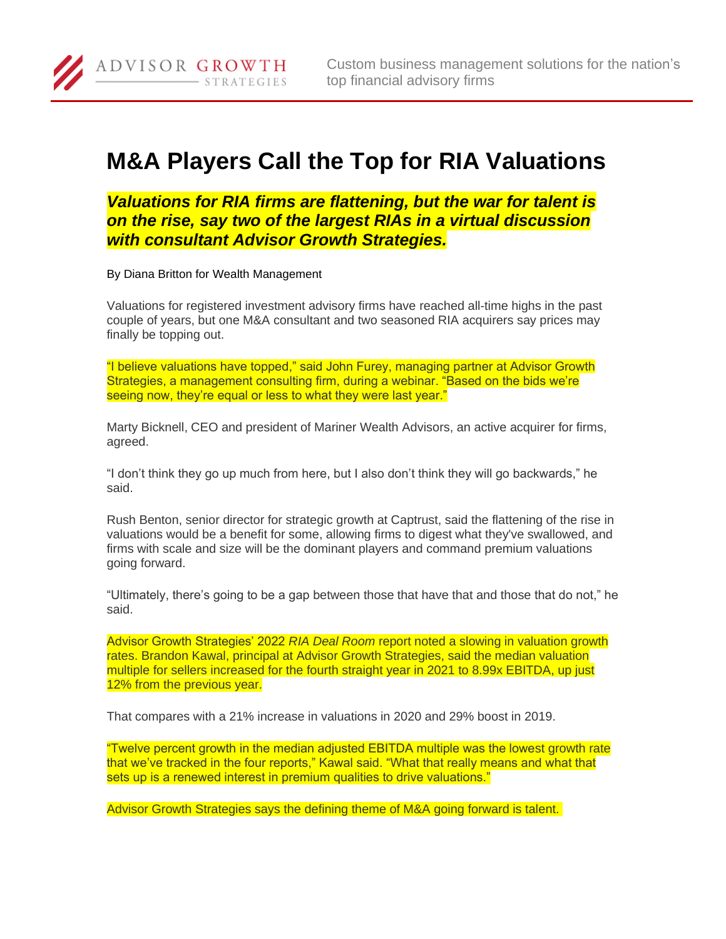Custom business management solutions for the nation's top financial advisory firms

## **M&A Players Call the Top for RIA Valuations**

*Valuations for RIA firms are flattening, but the war for talent is on the rise, say two of the largest RIAs in a virtual discussion with consultant Advisor Growth Strategies.*

By Diana Britton for Wealth Management

ADVISOR GROWTH

**STRATEGIES** 

Valuations for registered investment advisory firms have reached all-time highs in the past couple of years, but one M&A consultant and two seasoned RIA acquirers say prices may finally be topping out.

"I believe valuations have topped," said John Furey, managing partner at Advisor Growth Strategies, a management consulting firm, during a webinar. "Based on the bids we're seeing now, they're equal or less to what they were last year."

Marty Bicknell, CEO and president of Mariner Wealth Advisors, an active acquirer for firms, agreed.

"I don't think they go up much from here, but I also don't think they will go backwards," he said.

Rush Benton, senior director for strategic growth at Captrust, said the flattening of the rise in valuations would be a benefit for some, allowing firms to digest what they've swallowed, and firms with scale and size will be the dominant players and command premium valuations going forward.

"Ultimately, there's going to be a gap between those that have that and those that do not," he said.

Advisor Growth Strategies' 2022 *RIA Deal Room* report noted a slowing in valuation growth rates. Brandon Kawal, principal at Advisor Growth Strategies, said the median valuation multiple for sellers increased for the fourth straight year in 2021 to 8.99x EBITDA, up just 12% from the previous year.

That compares with a 21% increase in valuations in 2020 and 29% boost in 2019.

"Twelve percent growth in the median adjusted EBITDA multiple was the lowest growth rate that we've tracked in the four reports," Kawal said. "What that really means and what that sets up is a renewed interest in premium qualities to drive valuations."

Advisor Growth Strategies says the defining theme of M&A going forward is talent.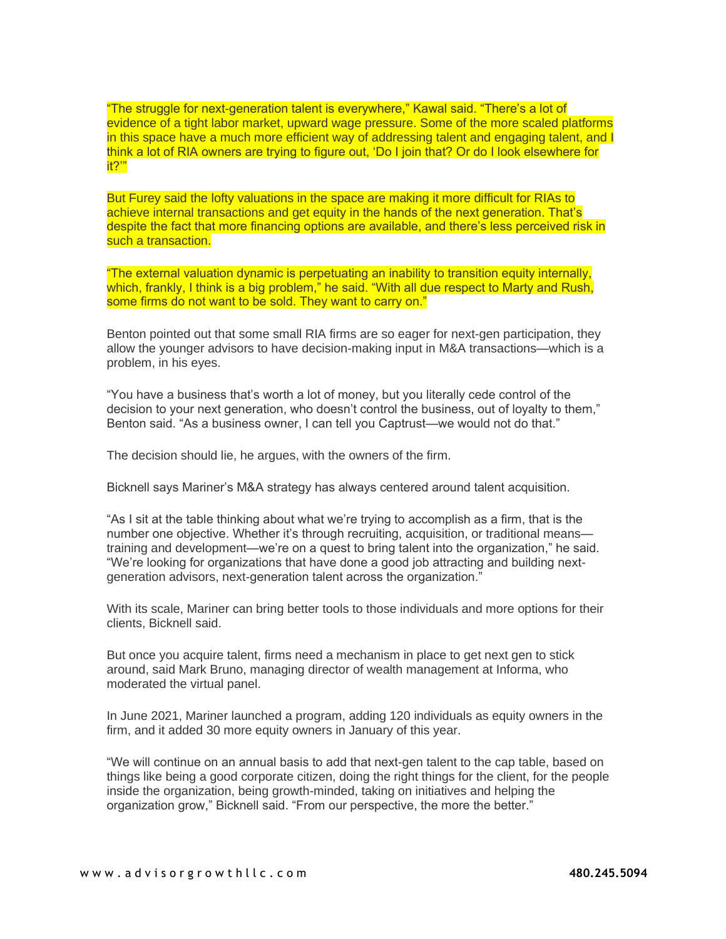"The struggle for next-generation talent is everywhere," Kawal said. "There's a lot of evidence of a tight labor market, upward wage pressure. Some of the more scaled platforms in this space have a much more efficient way of addressing talent and engaging talent, and I think a lot of RIA owners are trying to figure out, 'Do I join that? Or do I look elsewhere for it?'"

But Furey said the lofty valuations in the space are making it more difficult for RIAs to achieve internal transactions and get equity in the hands of the next generation. That's despite the fact that more financing options are available, and there's less perceived risk in such a transaction.

"The external valuation dynamic is perpetuating an inability to transition equity internally, which, frankly, I think is a big problem," he said. "With all due respect to Marty and Rush, some firms do not want to be sold. They want to carry on."

Benton pointed out that some small RIA firms are so eager for next-gen participation, they allow the younger advisors to have decision-making input in M&A transactions—which is a problem, in his eyes.

"You have a business that's worth a lot of money, but you literally cede control of the decision to your next generation, who doesn't control the business, out of loyalty to them," Benton said. "As a business owner, I can tell you Captrust—we would not do that."

The decision should lie, he argues, with the owners of the firm.

Bicknell says Mariner's M&A strategy has always centered around talent acquisition.

"As I sit at the table thinking about what we're trying to accomplish as a firm, that is the number one objective. Whether it's through recruiting, acquisition, or traditional means training and development—we're on a quest to bring talent into the organization," he said. "We're looking for organizations that have done a good job attracting and building nextgeneration advisors, next-generation talent across the organization."

With its scale, Mariner can bring better tools to those individuals and more options for their clients, Bicknell said.

But once you acquire talent, firms need a mechanism in place to get next gen to stick around, said Mark Bruno, managing director of wealth management at Informa, who moderated the virtual panel.

In June 2021, Mariner launched a program, adding 120 individuals as equity owners in the firm, and it added 30 more equity owners in January of this year.

"We will continue on an annual basis to add that next-gen talent to the cap table, based on things like being a good corporate citizen, doing the right things for the client, for the people inside the organization, being growth-minded, taking on initiatives and helping the organization grow," Bicknell said. "From our perspective, the more the better."